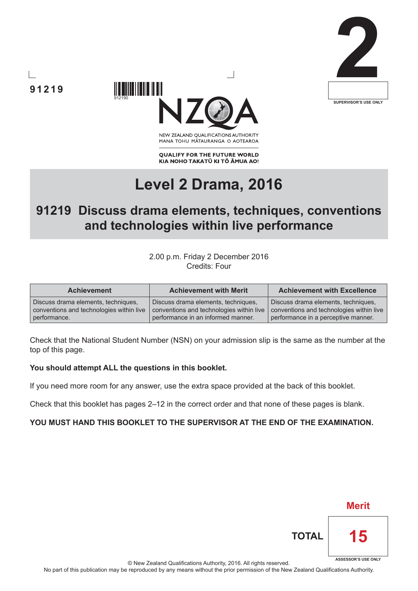



NEW ZEALAND OUALIFICATIONS AUTHORITY MANA TOHU MATAURANGA O AOTEAROA

**QUALIFY FOR THE FUTURE WORLD** KIA NOHO TAKATŪ KI TŌ ĀMUA AO!

# **Level 2 Drama, 2016**

## **91219 Discuss drama elements, techniques, conventions and technologies within live performance**

2.00 p.m. Friday 2 December 2016 Credits: Four

| <b>Achievement</b>                       | <b>Achievement with Merit</b>            | <b>Achievement with Excellence</b>       |
|------------------------------------------|------------------------------------------|------------------------------------------|
| Discuss drama elements, techniques,      | Discuss drama elements, techniques,      | Discuss drama elements, techniques,      |
| conventions and technologies within live | conventions and technologies within live | conventions and technologies within live |
| performance.                             | performance in an informed manner.       | performance in a perceptive manner.      |

Check that the National Student Number (NSN) on your admission slip is the same as the number at the top of this page.

#### **You should attempt ALL the questions in this booklet.**

If you need more room for any answer, use the extra space provided at the back of this booklet.

Check that this booklet has pages 2–12 in the correct order and that none of these pages is blank.

### **YOU MUST HAND THIS BOOKLET TO THE SUPERVISOR AT THE END OF THE EXAMINATION.**

© New Zealand Qualifications Authority, 2016. All rights reserved.

**91219**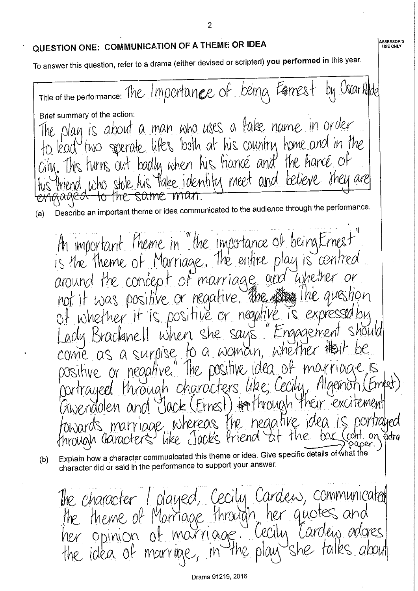### QUESTION ONE: COMMUNICATION OF A THEME OR IDEA

To answer this question, refer to a drama (either devised or scripted) you performed in this year.

Title of the performance: The Importance of being Egenest by Uscar Wlde Brief summary of the action: play is about a man who uses a lake name in order two sperate lifes both at his country home and in the This turns out badly when his hance and the hance of Priend, who stole his fake identify meet and believe they are SOME MAN -ांगरे-Describe an important theme or idea communicated to the audience through the performance.  $(a)$ An important theme in "the importance of being Ernest" is the theme of Marriage. The entire play is centred around the concept of marriage and whether or aughon not it was positive or regative. The stay the of whether it is positive or negative is expressed when she sans "Engagement Should adu Braclanell come as a surpise to a woman, whether that positive or negative." The positive idea of through characters like; Cecily rilaemon nortrayeed (xwendolen and "Jack (Ernest) # through their PXCATEMPAT towards marriage whereas the negative idea. like Jack's triend on extra 'hrouah (karacters aper. Explain how a character communicated this theme or idea. Give specific details of what the  $(b)$ character did or said in the performance to support your answer.

The character I played, Cecily Cardens, communicated the theme of Marriage through her quotes and *l'ardien adores* MOUTVIQUE. ellim her opinion of the idea of marriae

 $\overline{2}$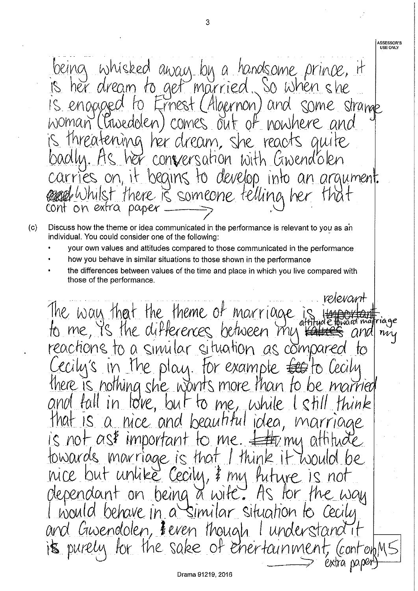being whisked away by a handsome prince, it<br>is her dream to get married. So when she<br>is enopged to Ernest (Algernon) and some strame woman (Pawedolen) comes out of nowhere and is threatening her dream, she reacts quite conversation with Gwendblen begins to develop into an argument. carries or there is someone telling her cont on extra paper

- Discuss how the theme or idea communicated in the performance is relevant to you as an  $(c)$ individual. You could consider one of the following:
	- your own values and attitudes compared to those communicated in the performance
	- how you behave in similar situations to those shown in the performance
	- the differences between values of the time and place in which you live compared with those of the performance.

relevant The way that the theme of marriage to me, is the differences between my my reactions to a similar situation as compared  $\overline{1}$ Cecily's in the play. For example  $\text{frr}$ there is nothing she wonts more than to b married fall in love, but to me, while and think that is a nice and beautiful idea, marriage is not as\$ important to me.  $\pm$ 艳/mu athtude towards marriage is that I thin nire but unlike Cecily, & my *Puture* on being a wite. Por *Plependant* HS the Way would behave in a similar situation to Cecily and Guvendolen, Feven though I understand it its purely for the sake of enertainment, extra pa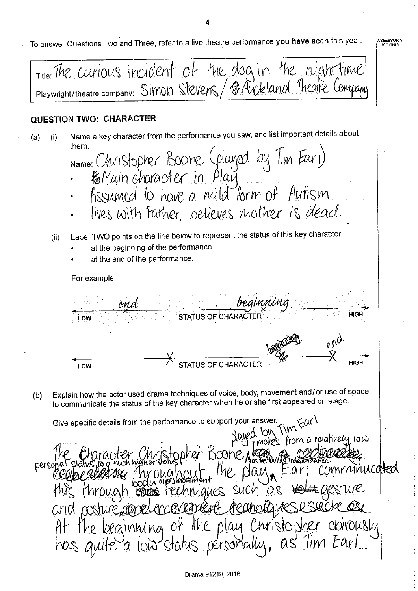To answer Questions Two and Three, refer to a live theatre performance you have seen this year.

**ASSESSOR'S** USE ONLY

Title: The curious incident of the dog in the night Playwright/theatre company: Simon Stevers / @Avckland Theatre Company **QUESTION TWO: CHARACTER** Name a key character from the performance you saw, and list important details about  $(i)$  $(a)$ them. Name: Christopher Boone (played by Tim Earl)<br>·  $\frac{1}{6}$ Main character in Play Assumed to have a mild form of Autism lives with Father, believes mother is dead. Label TWO points on the line below to represent the status of this key character:  $(ii)$ at the beginning of the performance at the end of the performance. For example: enn HIGH STATUS OF CHARACTER LOW STATUS OF CHARACTER **HIGH** LOW Explain how the actor used drama techniques of voice, body, movement and/or use of space  $(b)$ to communicate the status of the key character when he or she first appeared on stage. Give specific details from the performance to support your answer. nwC moves from a relatively low )OONE A! perso comminucated ne plau such hniahes Obrouslu beamning of the play Christophe personally low status

Drama 91219, 2016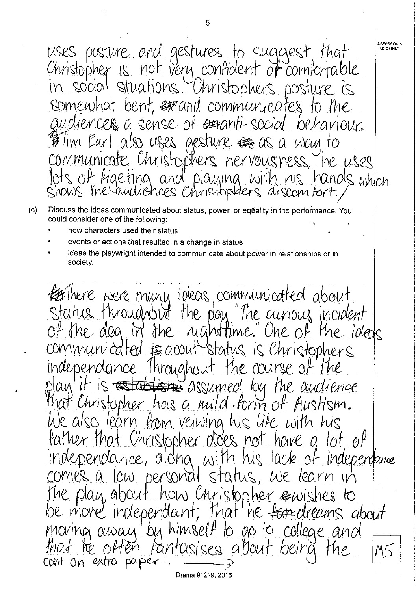**ASSESSOR'S** uses posture and gestures to suggest that<br>Christopher is not very confident of comfortable USE ONLY in social situations. Christophers posture is somewhat bent, execund communicates to the audiences a sense of extenti-social behaviour. Tim Earl also uses aesture  $#$  as a way to communicate Christophers nervousness, he uses of figeting and playing with his hand<br>s the audiences christoplaers discombert. hands which Shows the

- Discuss the ideas communicated about status, power, or equality in the performance. You  $(c)$ could consider one of the following:
	- how characters used their status
	- events or actions that resulted in a change in status
	- ideas the playwright intended to communicate about power in relationships or in society.

**HEThere** were many ideas communicated about status throughout the play "The curious incident of the dog in the nightfime." One of the ideas communicated to about status is Christophers Independance Throughout the course of **Estas** assumed by the audience Christopher has a mild form of Austism. We also learn from veiwing his like with his father that Christopher otoes not have a lot of independance, along with his lack of independance status, we learn in low personal how Christopher emishes to The plan, about be more independant, that he farridreams about moving away by himself to go to college and *Pantoisises allout* beina M5 extra  $p$ a per COMT ON Drama 91219, 2016

5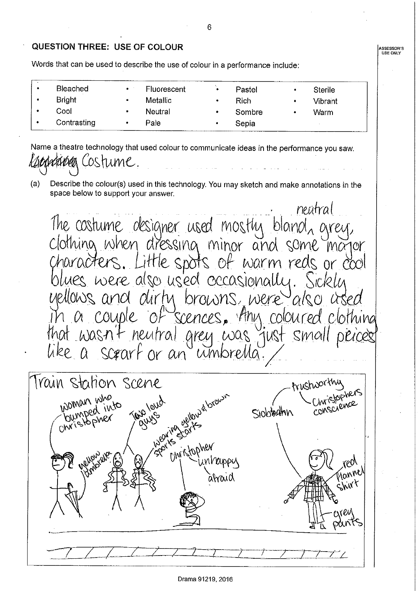**ASSESSOR'S**<br>USE ONLY

### **QUESTION THREE: USE OF COLOUR**

Words that can be used to describe the use of colour in a performance include:

| <b>Bleached</b> | $\bullet$ | Fluorescent | ۰ | Pastel      | Sterile |
|-----------------|-----------|-------------|---|-------------|---------|
| <b>Bright</b>   | ۰         | Metallic    |   | <b>Rich</b> | Vibrant |
| Cool            |           | Neutral     |   | Sombre      | Warm    |
| Contrasting     |           | Pale        |   | Sepia       |         |

Name a theatre technology that used colour to communicate ideas in the performance you saw. OStume.

 $(a)$ Describe the colour(s) used in this technology. You may sketch and make annotations in the space below to support your answer.

neutral The costume designer used mostly bland, grey,<br>Clothing when dressing minor and some major, characters. Little spots of warm reds or cool uellows and dirty browns, were  $^{\mathsf{J}}$ also Scences, Any coloured couple Clothing that wasn't neutral grey was just small a scrarf or an unibrella like

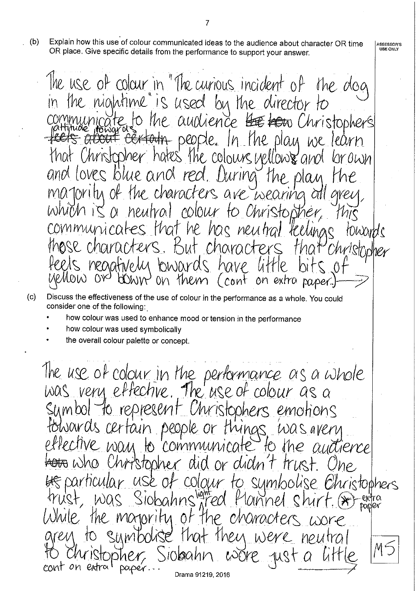$(b)$ Explain how this use of colour communicated ideas to the audience about character OR time OR place. Give specific details from the performance to support your answer.

The use of colour in "The curious incident of the dog in the nightime" is used by the director to to the audience but to Christophers uunirate feels about certain people. In the play we learn that Christopher hates the colours vellows and lor own and loves blue and red. During the plan Me Toritu of the characters are wearing neutral colour to Christopher. WWM IC A  $\overline{\mathcal{K}}$ communicates that he has neutral teelings towards those characters. But character Christripher that feets neadfively bwards have MOW Why on them (cont on extra baser.

- Discuss the effectiveness of the use of colour in the performance as a whole. You could  $(c)$ consider one of the following:
	- how colour was used to enhance mood or tension in the performance
	- how colour was used symbolically
	- the overall colour palette or concept.

The use of colour in the performance as a whole<br>was very effective. The use of colour as a sumbol to represent Christophers emotions towards certain people or things was avery to communicate effective wan  $lhe$ authence hristopher and or didn't Τŗ be particular use of colour to sumboli ristophers Siobahns<sup>ngred</sup> f 1annel Was MOTOVITY  $The$ enaracte Ôf  $\varphi$ Were  $11091<sub>1</sub>$  $M$  $\bigcup\{0|Q\}$ cont on Drama 91219, 2016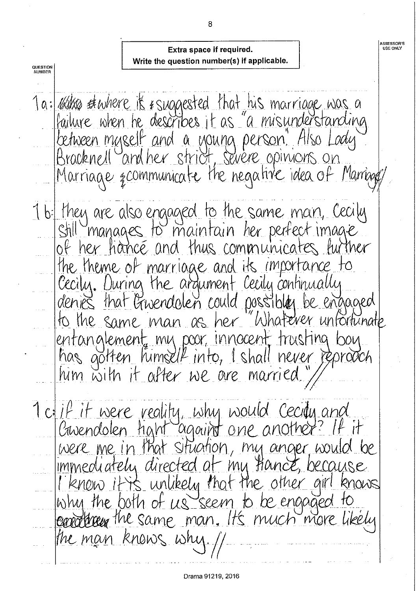### Extra space if required. Write the question number(s) if applicable.

**QUESTION**<br>NUMBER Ta: What startere it is uggested that his marriage was a between myself and a young person" Also Lady Marriage & communicate the negative idea of Marriage 1 b: they are also engaged to the same man, Cecily<br>Still manages to maintain her perfect image<br>of her hance and thus communicates further the theme of marriage and its importance to Cecily. During the argument Cecily continually denies that Gwendolen could possible, be engaged to the same man as her "Whatever unfortunate entanglement, mu poor, innocent, trusting bou has gotten himself into, I shall never reproach him with it after we are married." 1 ci if it were reality, why would Cecity and Cavendolen haht against one another? It were me in that situation, my anger would be immediately directed at my Hance, because I know it is unlikely that the other girl knows why the both of us seem to be engaged to eardleren the same man. It's much more likely the man knows why.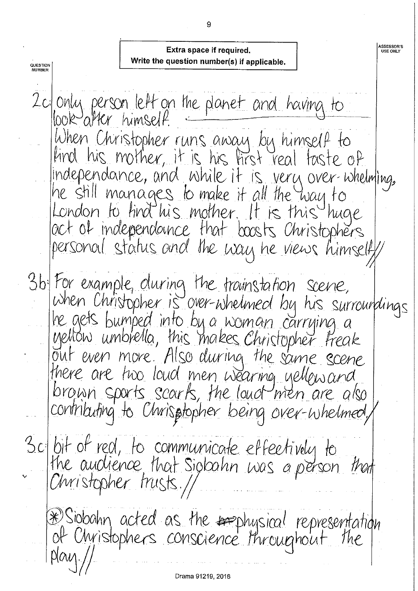**ASSESSOR'S<br>USE ONLY** Extra space if required. Write the question number(s) if applicable. QUESTION<br>NUMBER 2c only person left on the planet and having to When Christopher runs away by himself to kind his mother, it is his first real faste of independance, and while it is very over-whelming, he still manages to make it all the way to London to find his mother. It is this huge act of independounce that boosts Christophers personal status and the way he views himself 3b For example, oluring the trovinstation scene,<br>When Christopher is over-whelmed by his surroundings he gets bumped into by a woman carrying a yellow umbrella, this makes Christopher Freak there are two loud men wearing yellow and brown sports scarks, the loud men are also contributing to Chrisptopher being over-whelmed, 3c bit of red, to communicate effectively to the audience, that Sigbahn was a person that Christopher trusts.// \*Siobahn acted as the resphysical representation  $p \mid \alpha \vee \dots$ 

Drama 91219, 2016

9